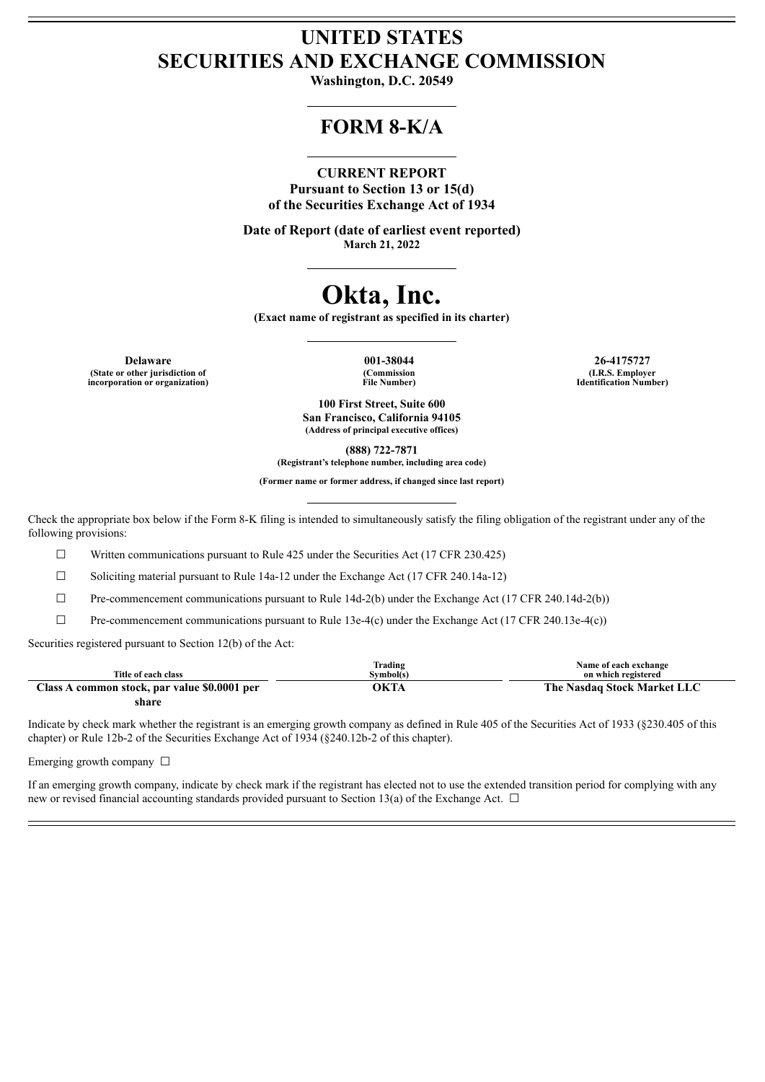## **UNITED STATES SECURITIES AND EXCHANGE COMMISSION**

**Washington, D.C. 20549**

### **FORM 8-K/A**

#### **CURRENT REPORT**

**Pursuant to Section 13 or 15(d) of the Securities Exchange Act of 1934**

**Date of Report (date of earliest event reported) March 21, 2022**

# **Okta, Inc.**

**(Exact name of registrant as specified in its charter)**

**Delaware 001-38044 26-4175727 (State or other jurisdiction of incorporation or organization)**

**(Commission File Number)**

**(I.R.S. Employer Identification Number)**

**100 First Street, Suite 600 San Francisco, California 94105 (Address of principal executive offices)**

**(888) 722-7871**

**(Registrant's telephone number, including area code)**

**(Former name or former address, if changed since last report)**

Check the appropriate box below if the Form 8-K filing is intended to simultaneously satisfy the filing obligation of the registrant under any of the following provisions:

☐ Written communications pursuant to Rule 425 under the Securities Act (17 CFR 230.425)

 $\Box$  Soliciting material pursuant to Rule 14a-12 under the Exchange Act (17 CFR 240.14a-12)

 $\Box$  Pre-commencement communications pursuant to Rule 14d-2(b) under the Exchange Act (17 CFR 240.14d-2(b))

☐ Pre-commencement communications pursuant to Rule 13e-4(c) under the Exchange Act (17 CFR 240.13e-4(c))

Securities registered pursuant to Section 12(b) of the Act:

|                                              | Trading   | Name of each exchange       |
|----------------------------------------------|-----------|-----------------------------|
| Title of each class                          | Svmbol(s) | on which registered         |
| Class A common stock, par value \$0.0001 per | ЭКТА      | The Nasdaq Stock Market LLC |
| share                                        |           |                             |

Indicate by check mark whether the registrant is an emerging growth company as defined in Rule 405 of the Securities Act of 1933 (§230.405 of this chapter) or Rule 12b-2 of the Securities Exchange Act of 1934 (§240.12b-2 of this chapter).

Emerging growth company  $\Box$ 

If an emerging growth company, indicate by check mark if the registrant has elected not to use the extended transition period for complying with any new or revised financial accounting standards provided pursuant to Section 13(a) of the Exchange Act.  $\Box$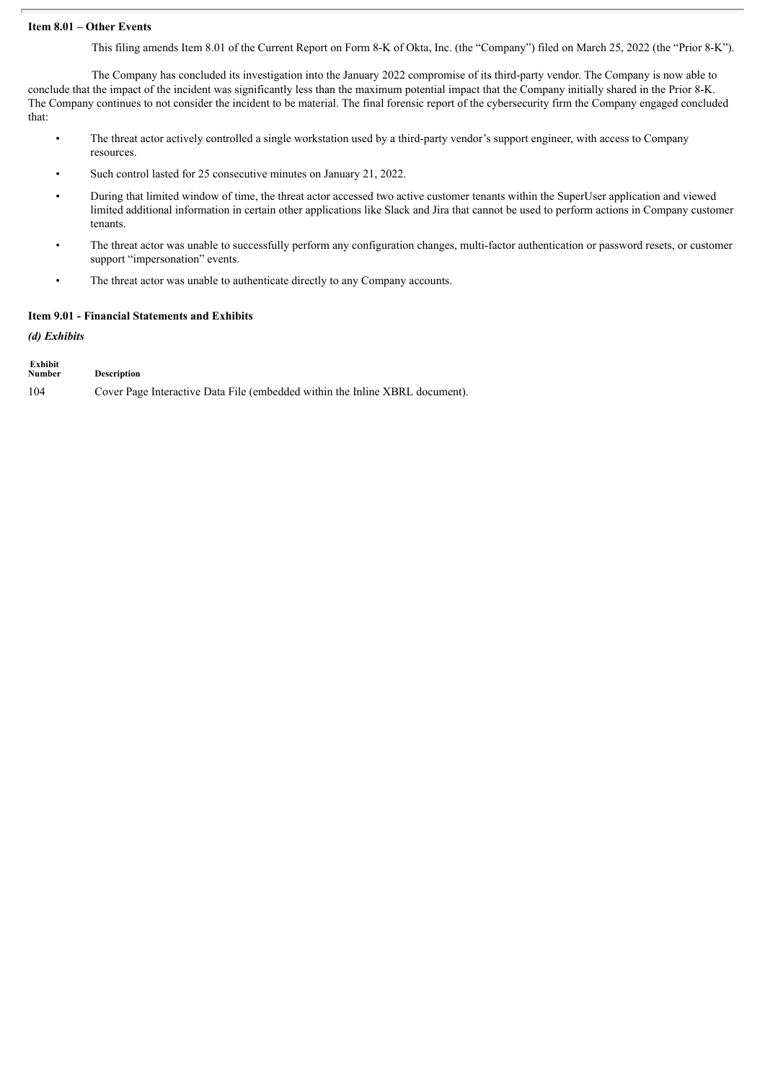#### **Item 8.01 – Other Events**

This filing amends Item 8.01 of the Current Report on Form 8-K of Okta, Inc. (the "Company") filed on March 25, 2022 (the "Prior 8-K").

The Company has concluded its investigation into the January 2022 compromise of its third-party vendor. The Company is now able to conclude that the impact of the incident was significantly less than the maximum potential impact that the Company initially shared in the Prior 8-K. The Company continues to not consider the incident to be material. The final forensic report of the cybersecurity firm the Company engaged concluded that:

- The threat actor actively controlled a single workstation used by a third-party vendor's support engineer, with access to Company resources.
- Such control lasted for 25 consecutive minutes on January 21, 2022.
- During that limited window of time, the threat actor accessed two active customer tenants within the SuperUser application and viewed limited additional information in certain other applications like Slack and Jira that cannot be used to perform actions in Company customer tenants.
- The threat actor was unable to successfully perform any configuration changes, multi-factor authentication or password resets, or customer support "impersonation" events.
- The threat actor was unable to authenticate directly to any Company accounts.

#### **Item 9.01 - Financial Statements and Exhibits**

*(d) Exhibits*

| Exhibit<br><b>Number</b> | <b>Description</b>                                                           |
|--------------------------|------------------------------------------------------------------------------|
| 104                      | Cover Page Interactive Data File (embedded within the Inline XBRL document). |